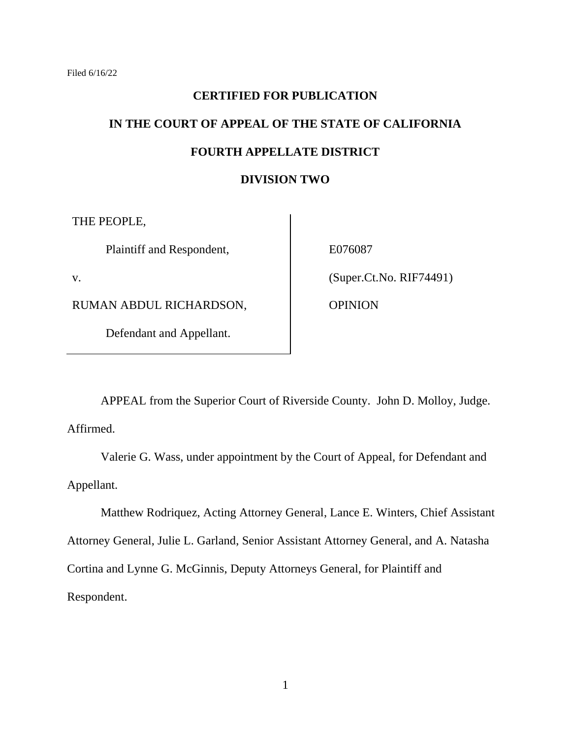# **CERTIFIED FOR PUBLICATION IN THE COURT OF APPEAL OF THE STATE OF CALIFORNIA FOURTH APPELLATE DISTRICT**

## **DIVISION TWO**

THE PEOPLE,

Plaintiff and Respondent,

v.

RUMAN ABDUL RICHARDSON,

Defendant and Appellant.

E076087

(Super.Ct.No. RIF74491)

OPINION

APPEAL from the Superior Court of Riverside County. John D. Molloy, Judge. Affirmed.

Valerie G. Wass, under appointment by the Court of Appeal, for Defendant and Appellant.

Matthew Rodriquez, Acting Attorney General, Lance E. Winters, Chief Assistant Attorney General, Julie L. Garland, Senior Assistant Attorney General, and A. Natasha Cortina and Lynne G. McGinnis, Deputy Attorneys General, for Plaintiff and Respondent.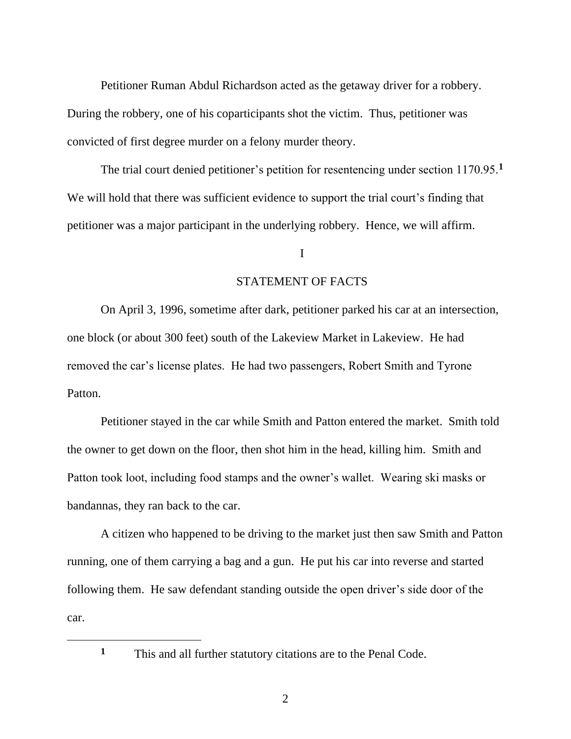Petitioner Ruman Abdul Richardson acted as the getaway driver for a robbery. During the robbery, one of his coparticipants shot the victim. Thus, petitioner was convicted of first degree murder on a felony murder theory.

The trial court denied petitioner's petition for resentencing under section 1170.95.**<sup>1</sup>** We will hold that there was sufficient evidence to support the trial court's finding that petitioner was a major participant in the underlying robbery. Hence, we will affirm.

#### I

#### STATEMENT OF FACTS

On April 3, 1996, sometime after dark, petitioner parked his car at an intersection, one block (or about 300 feet) south of the Lakeview Market in Lakeview. He had removed the car's license plates. He had two passengers, Robert Smith and Tyrone Patton.

Petitioner stayed in the car while Smith and Patton entered the market. Smith told the owner to get down on the floor, then shot him in the head, killing him. Smith and Patton took loot, including food stamps and the owner's wallet. Wearing ski masks or bandannas, they ran back to the car.

A citizen who happened to be driving to the market just then saw Smith and Patton running, one of them carrying a bag and a gun. He put his car into reverse and started following them. He saw defendant standing outside the open driver's side door of the car.

**<sup>1</sup>** This and all further statutory citations are to the Penal Code.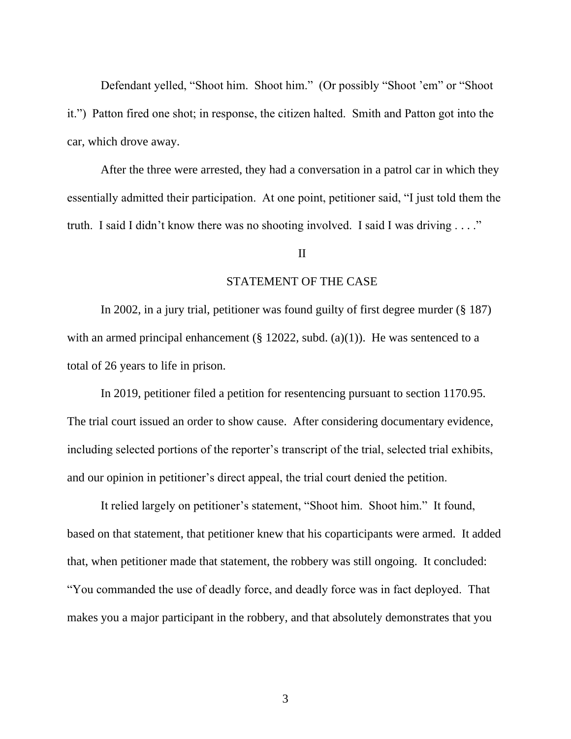Defendant yelled, "Shoot him. Shoot him." (Or possibly "Shoot 'em" or "Shoot it.") Patton fired one shot; in response, the citizen halted. Smith and Patton got into the car, which drove away.

After the three were arrested, they had a conversation in a patrol car in which they essentially admitted their participation. At one point, petitioner said, "I just told them the truth. I said I didn't know there was no shooting involved. I said I was driving . . . ."

### II

#### STATEMENT OF THE CASE

In 2002, in a jury trial, petitioner was found guilty of first degree murder (§ 187) with an armed principal enhancement (§ 12022, subd. (a)(1)). He was sentenced to a total of 26 years to life in prison.

In 2019, petitioner filed a petition for resentencing pursuant to section 1170.95. The trial court issued an order to show cause. After considering documentary evidence, including selected portions of the reporter's transcript of the trial, selected trial exhibits, and our opinion in petitioner's direct appeal, the trial court denied the petition.

It relied largely on petitioner's statement, "Shoot him. Shoot him." It found, based on that statement, that petitioner knew that his coparticipants were armed. It added that, when petitioner made that statement, the robbery was still ongoing. It concluded: "You commanded the use of deadly force, and deadly force was in fact deployed. That makes you a major participant in the robbery, and that absolutely demonstrates that you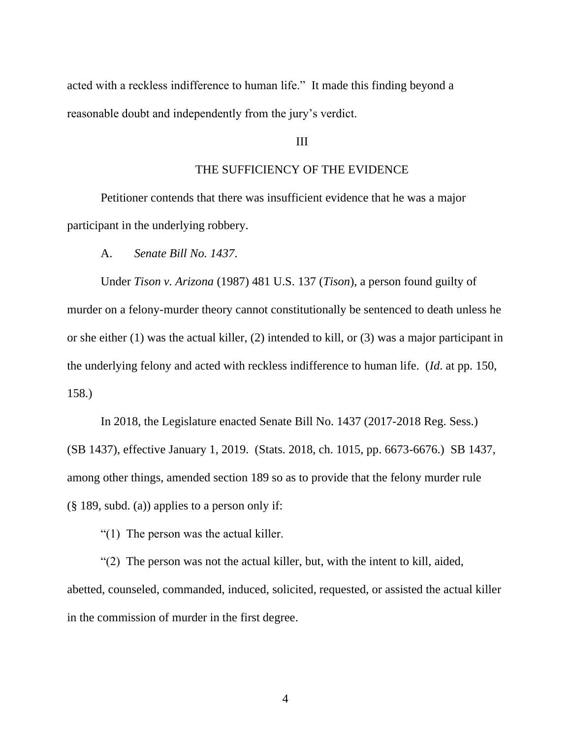acted with a reckless indifference to human life." It made this finding beyond a reasonable doubt and independently from the jury's verdict.

### III

## THE SUFFICIENCY OF THE EVIDENCE

Petitioner contends that there was insufficient evidence that he was a major participant in the underlying robbery.

A. *Senate Bill No. 1437*.

Under *Tison v. Arizona* (1987) 481 U.S. 137 (*Tison*), a person found guilty of murder on a felony-murder theory cannot constitutionally be sentenced to death unless he or she either (1) was the actual killer, (2) intended to kill, or (3) was a major participant in the underlying felony and acted with reckless indifference to human life. (*Id*. at pp. 150, 158.)

In 2018, the Legislature enacted Senate Bill No. 1437 (2017-2018 Reg. Sess.) (SB 1437), effective January 1, 2019. (Stats. 2018, ch. 1015, pp. 6673-6676.) SB 1437, among other things, amended section 189 so as to provide that the felony murder rule (§ 189, subd. (a)) applies to a person only if:

"(1) The person was the actual killer.

"(2) The person was not the actual killer, but, with the intent to kill, aided, abetted, counseled, commanded, induced, solicited, requested, or assisted the actual killer in the commission of murder in the first degree.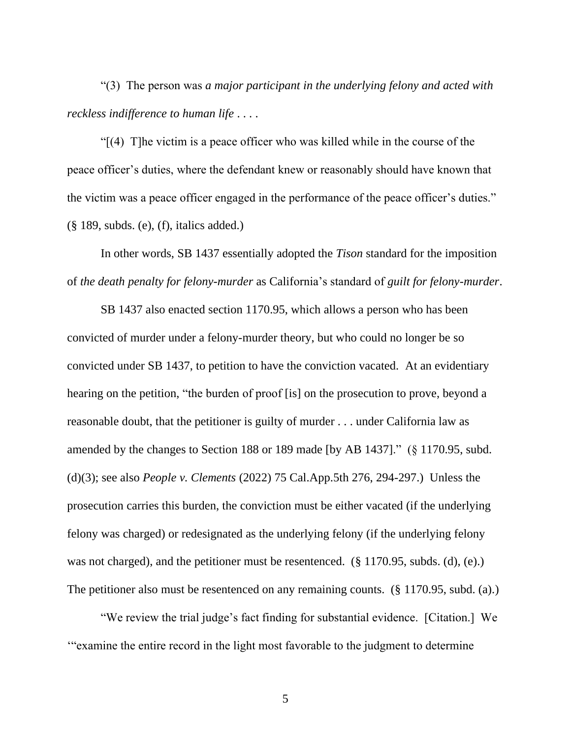"(3) The person was *a major participant in the underlying felony and acted with reckless indifference to human life* . . . .

"[(4) T]he victim is a peace officer who was killed while in the course of the peace officer's duties, where the defendant knew or reasonably should have known that the victim was a peace officer engaged in the performance of the peace officer's duties."  $(\S$  189, subds. (e), (f), italics added.)

In other words, SB 1437 essentially adopted the *Tison* standard for the imposition of *the death penalty for felony-murder* as California's standard of *guilt for felony-murder*.

SB 1437 also enacted section 1170.95, which allows a person who has been convicted of murder under a felony-murder theory, but who could no longer be so convicted under SB 1437, to petition to have the conviction vacated. At an evidentiary hearing on the petition, "the burden of proof [is] on the prosecution to prove, beyond a reasonable doubt, that the petitioner is guilty of murder . . . under California law as amended by the changes to Section 188 or 189 made [by AB 1437]." (§ 1170.95, subd. (d)(3); see also *People v. Clements* (2022) 75 Cal.App.5th 276, 294-297.) Unless the prosecution carries this burden, the conviction must be either vacated (if the underlying felony was charged) or redesignated as the underlying felony (if the underlying felony was not charged), and the petitioner must be resentenced. (§ 1170.95, subds. (d), (e).) The petitioner also must be resentenced on any remaining counts. (§ 1170.95, subd. (a).)

"We review the trial judge's fact finding for substantial evidence. [Citation.] We '"examine the entire record in the light most favorable to the judgment to determine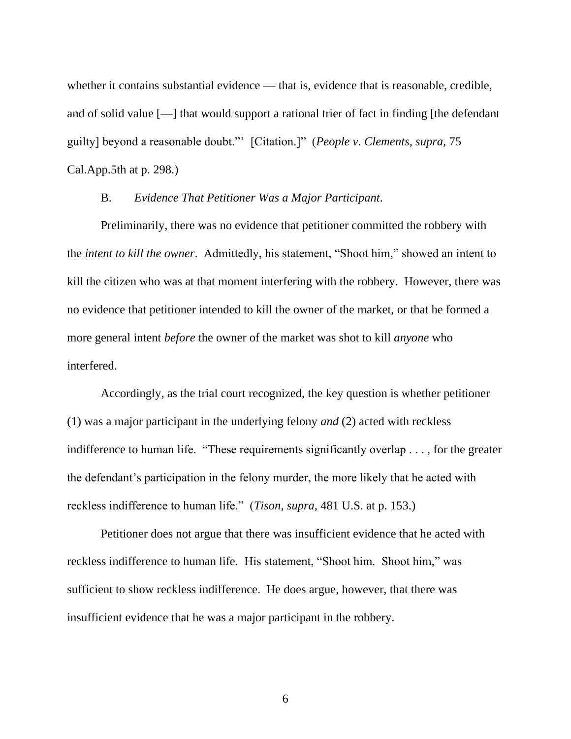whether it contains substantial evidence — that is, evidence that is reasonable, credible, and of solid value [—] that would support a rational trier of fact in finding [the defendant guilty] beyond a reasonable doubt."' [Citation.]" (*People v. Clements, supra,* 75 Cal.App.5th at p. 298.)

### B. *Evidence That Petitioner Was a Major Participant*.

Preliminarily, there was no evidence that petitioner committed the robbery with the *intent to kill the owner*. Admittedly, his statement, "Shoot him," showed an intent to kill the citizen who was at that moment interfering with the robbery. However, there was no evidence that petitioner intended to kill the owner of the market, or that he formed a more general intent *before* the owner of the market was shot to kill *anyone* who interfered.

Accordingly, as the trial court recognized, the key question is whether petitioner (1) was a major participant in the underlying felony *and* (2) acted with reckless indifference to human life. "These requirements significantly overlap . . . , for the greater the defendant's participation in the felony murder, the more likely that he acted with reckless indifference to human life." (*Tison*, *supra*, 481 U.S. at p. 153.)

Petitioner does not argue that there was insufficient evidence that he acted with reckless indifference to human life. His statement, "Shoot him. Shoot him," was sufficient to show reckless indifference. He does argue, however, that there was insufficient evidence that he was a major participant in the robbery.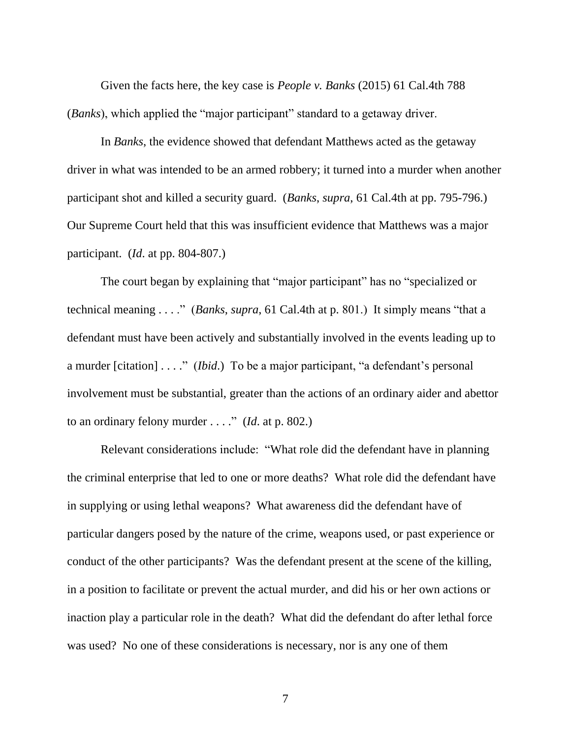Given the facts here, the key case is *People v. Banks* (2015) 61 Cal.4th 788 (*Banks*), which applied the "major participant" standard to a getaway driver.

In *Banks*, the evidence showed that defendant Matthews acted as the getaway driver in what was intended to be an armed robbery; it turned into a murder when another participant shot and killed a security guard. (*Banks*, *supra*, 61 Cal.4th at pp. 795-796.) Our Supreme Court held that this was insufficient evidence that Matthews was a major participant. (*Id*. at pp. 804-807.)

The court began by explaining that "major participant" has no "specialized or technical meaning . . . ." (*Banks*, *supra*, 61 Cal.4th at p. 801.) It simply means "that a defendant must have been actively and substantially involved in the events leading up to a murder [citation] . . . ." (*Ibid*.) To be a major participant, "a defendant's personal involvement must be substantial, greater than the actions of an ordinary aider and abettor to an ordinary felony murder . . . ." (*Id*. at p. 802.)

Relevant considerations include: "What role did the defendant have in planning the criminal enterprise that led to one or more deaths? What role did the defendant have in supplying or using lethal weapons? What awareness did the defendant have of particular dangers posed by the nature of the crime, weapons used, or past experience or conduct of the other participants? Was the defendant present at the scene of the killing, in a position to facilitate or prevent the actual murder, and did his or her own actions or inaction play a particular role in the death? What did the defendant do after lethal force was used? No one of these considerations is necessary, nor is any one of them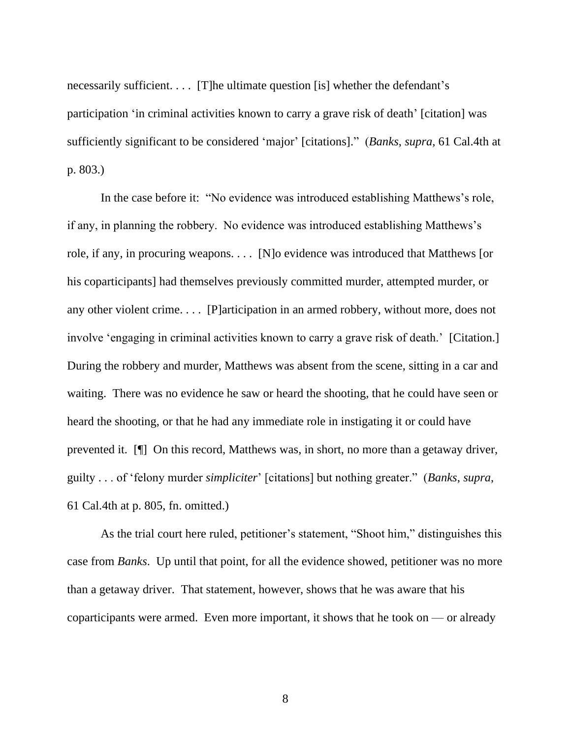necessarily sufficient. . . . [T]he ultimate question [is] whether the defendant's participation 'in criminal activities known to carry a grave risk of death' [citation] was sufficiently significant to be considered 'major' [citations]." (*Banks*, *supra*, 61 Cal.4th at p. 803.)

In the case before it: "No evidence was introduced establishing Matthews's role, if any, in planning the robbery. No evidence was introduced establishing Matthews's role, if any, in procuring weapons. . . . [N]o evidence was introduced that Matthews [or his coparticipants] had themselves previously committed murder, attempted murder, or any other violent crime. . . . [P]articipation in an armed robbery, without more, does not involve 'engaging in criminal activities known to carry a grave risk of death.' [Citation.] During the robbery and murder, Matthews was absent from the scene, sitting in a car and waiting. There was no evidence he saw or heard the shooting, that he could have seen or heard the shooting, or that he had any immediate role in instigating it or could have prevented it. [¶] On this record, Matthews was, in short, no more than a getaway driver, guilty . . . of 'felony murder *simpliciter*' [citations] but nothing greater." (*Banks*, *supra*, 61 Cal.4th at p. 805, fn. omitted.)

As the trial court here ruled, petitioner's statement, "Shoot him," distinguishes this case from *Banks*. Up until that point, for all the evidence showed, petitioner was no more than a getaway driver. That statement, however, shows that he was aware that his coparticipants were armed. Even more important, it shows that he took on  $\sim$  or already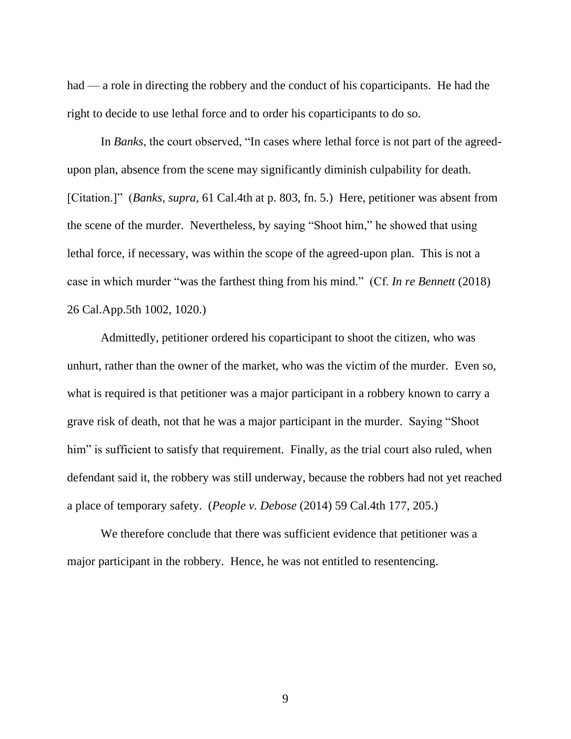had — a role in directing the robbery and the conduct of his coparticipants. He had the right to decide to use lethal force and to order his coparticipants to do so.

In *Banks*, the court observed, "In cases where lethal force is not part of the agreedupon plan, absence from the scene may significantly diminish culpability for death. [Citation.]" (*Banks*, *supra*, 61 Cal.4th at p. 803, fn. 5.) Here, petitioner was absent from the scene of the murder. Nevertheless, by saying "Shoot him," he showed that using lethal force, if necessary, was within the scope of the agreed-upon plan. This is not a case in which murder "was the farthest thing from his mind." (Cf. *In re Bennett* (2018) 26 Cal.App.5th 1002, 1020.)

Admittedly, petitioner ordered his coparticipant to shoot the citizen, who was unhurt, rather than the owner of the market, who was the victim of the murder. Even so, what is required is that petitioner was a major participant in a robbery known to carry a grave risk of death, not that he was a major participant in the murder. Saying "Shoot him" is sufficient to satisfy that requirement. Finally, as the trial court also ruled, when defendant said it, the robbery was still underway, because the robbers had not yet reached a place of temporary safety. (*People v. Debose* (2014) 59 Cal.4th 177, 205.)

We therefore conclude that there was sufficient evidence that petitioner was a major participant in the robbery. Hence, he was not entitled to resentencing.